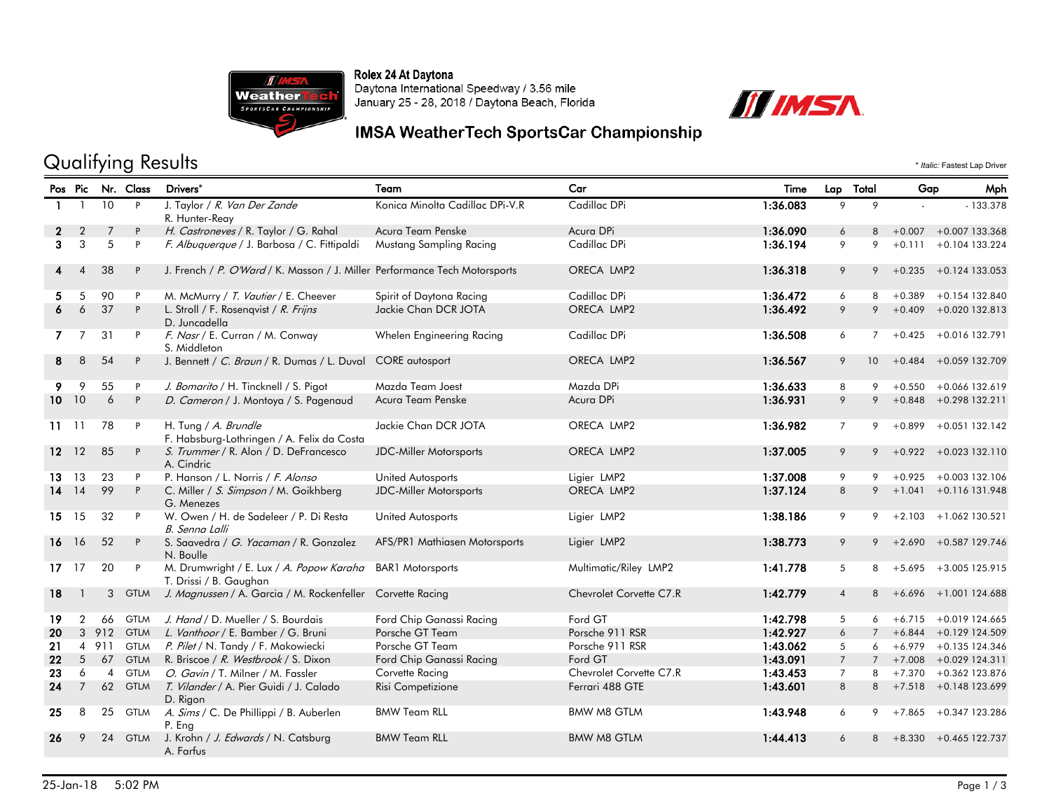

Rolex 24 At Daytona<br>Daytona International Speedway / 3.56 mile January 25 - 28, 2018 / Daytona Beach, Florida



## Qualifying Results  $\cdot$  *Italic:* Fastest Lap Driver

|              |                 |                | Pos Pic Nr. Class | Drivers*                                                                   | Team                            | Car                     | Time     | Lap Total       |                 | Gap      | Mph                        |
|--------------|-----------------|----------------|-------------------|----------------------------------------------------------------------------|---------------------------------|-------------------------|----------|-----------------|-----------------|----------|----------------------------|
| $\mathbf{1}$ | 1               | 10             | P                 | J. Taylor / R. Van Der Zande<br>R. Hunter-Reay                             | Konica Minolta Cadillac DPi-V.R | Cadillac DPi            | 1:36.083 | 9               | 9               |          | $-133.378$                 |
|              | $\overline{2}$  | 7              | P                 | H. Castroneves / R. Taylor / G. Rahal                                      | Acura Team Penske               | Acura DPi               | 1:36.090 | 6               | 8               |          | $+0.007 + 0.007$ 133.368   |
| 3            | 3               | 5              | P                 | F. Albuquerque / J. Barbosa / C. Fittipaldi                                | Mustang Sampling Racing         | Cadillac DPi            | 1:36.194 | 9               | 9               |          | $+0.111 + 0.104133.224$    |
|              | 4               | 38             | P                 | J. French / P. O'Ward / K. Masson / J. Miller Performance Tech Motorsports |                                 | ORECA LMP2              | 1:36.318 | 9               |                 |          | $9 + 0.235 + 0.124133.053$ |
| 5.           | 5               | 90             | P                 | M. McMurry / T. Vautier / E. Cheever                                       | Spirit of Daytona Racing        | Cadillac DPi            | 1:36.472 | 6               | 8               |          | $+0.389 + 0.154132.840$    |
| 6            | 6               | 37             | P                 | L. Stroll / F. Rosenqvist / R. Frijns<br>D. Juncadella                     | Jackie Chan DCR JOTA            | ORECA LMP2              | 1:36.492 | 9               | 9               |          | $+0.409 + 0.020132.813$    |
|              | $\overline{7}$  | 31             | P                 | F. Nasr / E. Curran / M. Conway<br>S. Middleton                            | Whelen Engineering Racing       | Cadillac DPi            | 1:36.508 | 6               |                 |          | $7 + 0.425 + 0.016132.791$ |
| 8            | 8               | 54             | P                 | J. Bennett / C. Braun / R. Dumas / L. Duval CORE autosport                 |                                 | ORECA LMP2              | 1:36.567 | 9               | 10 <sup>°</sup> |          | $+0.484 + 0.059$ 132.709   |
| 9            | 9               | 55             | P                 | J. Bomarito / H. Tincknell / S. Pigot                                      | Mazda Team Joest                | Mazda DPi               | 1:36.633 | 8               | 9               |          | $+0.550 + 0.066$ 132.619   |
|              | $10 - 10$       | 6              | P                 | D. Cameron / J. Montoya / S. Pagenaud                                      | Acura Team Penske               | Acura DPi               | 1:36.931 | 9               | 9               |          | $+0.848$ $+0.298$ 132.211  |
|              | $11 - 11$       | 78             | P                 | H. Tung / A. Brundle<br>F. Habsburg-Lothringen / A. Felix da Costa         | Jackie Chan DCR JOTA            | ORECA LMP2              | 1:36.982 | $\overline{7}$  |                 |          | $9 + 0.899 + 0.051132.142$ |
|              | $12 \t12$       | 85             | P                 | S. Trummer / R. Alon / D. DeFrancesco<br>A. Cindric                        | <b>JDC-Miller Motorsports</b>   | ORECA LMP2              | 1:37.005 | 9               |                 |          | $9 + 0.922 + 0.023132.110$ |
| 13.          | 13              | 23             | P                 | P. Hanson / L. Norris / F. Alonso                                          | United Autosports               | Ligier LMP2             | 1:37.008 | 9               | 9               |          | $+0.925 + 0.003132.106$    |
| 14           | 14              | 99             | P                 | C. Miller / S. Simpson / M. Goikhberg<br>G. Menezes                        | <b>JDC-Miller Motorsports</b>   | ORECA LMP2              | 1:37.124 | 8               |                 |          | $9 + 1.041 + 0.116131.948$ |
| 15           | 15              | 32             | P                 | W. Owen / H. de Sadeleer / P. Di Resta<br>B. Senna Lalli                   | United Autosports               | Ligier LMP2             | 1:38.186 | 9               | 9               | $+2.103$ | +1.062 130.521             |
|              | 16 16           | 52             | P                 | S. Saavedra / G. Yacaman / R. Gonzalez<br>N. Boulle                        | AFS/PR1 Mathiasen Motorsports   | Ligier LMP2             | 1:38.773 | 9               |                 |          | $9 + 2.690 + 0.587129.746$ |
| $17 - 17$    |                 | 20             | P                 | M. Drumwright / E. Lux / A. Popow Karaha<br>T. Drissi / B. Gaughan         | <b>BAR1</b> Motorsports         | Multimatic/Riley LMP2   | 1:41.778 | 5               | 8               |          | +5.695 +3.005 125.915      |
| 18           |                 | 3              | <b>GTLM</b>       | J. Magnussen / A. Garcia / M. Rockenfeller Corvette Racing                 |                                 | Chevrolet Corvette C7.R | 1:42.779 | $\overline{4}$  | 8               |          | $+6.696 + 1.001$ 124.688   |
| 19           | $\overline{2}$  | 66             |                   | GTLM J. Hand / D. Mueller / S. Bourdais                                    | Ford Chip Ganassi Racing        | Ford GT                 | 1:42.798 | 5               |                 |          | $6 + 6.715 + 0.019124.665$ |
| 20           |                 |                |                   | 3 912 GTLM L. Vanthoor / E. Bamber / G. Bruni                              | Porsche GT Team                 | Porsche 911 RSR         | 1:42.927 | 6               | $\overline{7}$  |          | $+6.844 + 0.129124.509$    |
| 21           |                 | 4 9 1 1        | <b>GTLM</b>       | P. Pilet / N. Tandy / F. Makowiecki                                        | Porsche GT Team                 | Porsche 911 RSR         | 1:43.062 | 5               | 6               |          | $+6.979 + 0.135124.346$    |
| 22           | 5 <sub>5</sub>  | 67             | <b>GTLM</b>       | R. Briscoe / R. Westbrook / S. Dixon                                       | Ford Chip Ganassi Racing        | Ford GT                 | 1:43.091 | $7\overline{ }$ |                 |          | $7 + 7.008 + 0.029124.311$ |
| 23           | 6               | $\overline{4}$ | <b>GTLM</b>       | O. Gavin / T. Milner / M. Fassler                                          | Corvette Racing                 | Chevrolet Corvette C7.R | 1:43.453 | $7^{\circ}$     | 8               |          | +7.370 +0.362 123.876      |
| 24           | $7\overline{ }$ |                |                   | 62 GTLM T. Vilander / A. Pier Guidi / J. Calado<br>D. Rigon                | Risi Competizione               | Ferrari 488 GTE         | 1:43.601 | 8               |                 |          | $+7.518$ $+0.148$ 123.699  |
| 25           | 8               | 25             | <b>GTLM</b>       | A. Sims / C. De Phillippi / B. Auberlen<br>P. Eng                          | <b>BMW Team RLL</b>             | <b>BMW M8 GTLM</b>      | 1:43.948 | 6               | 9               |          | +7.865 +0.347 123.286      |
| 26           | 9               | 24             | <b>GTLM</b>       | J. Krohn / J. Edwards / N. Catsburg<br>A. Farfus                           | <b>BMW Team RLL</b>             | <b>BMW M8 GTLM</b>      | 1:44.413 | 6               | 8               |          | +8.330 +0.465 122.737      |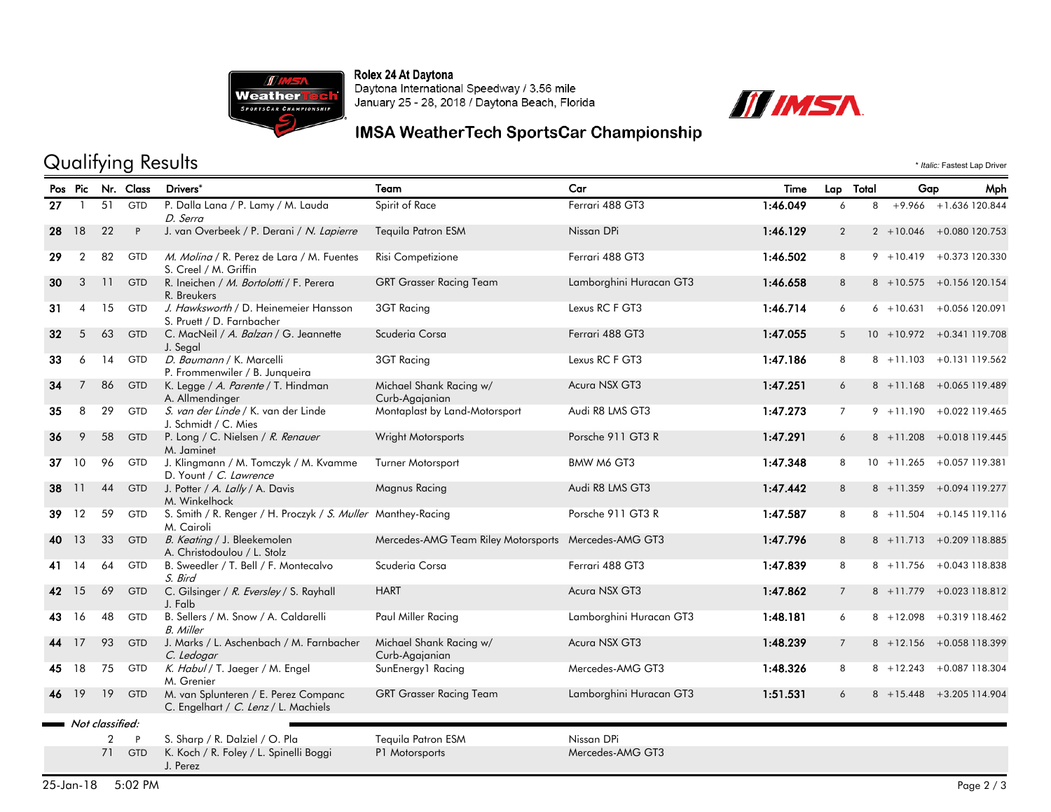

Rolex 24 At Daytona<br>Daytona International Speedway / 3.56 mile January 25 - 28, 2018 / Daytona Beach, Florida



## Qualifying Results \* *Italic:* Fastest Lap Driver

|    | Pos Pic        |                 | Nr. Class    | Drivers <sup>*</sup>                                                         | Team                                                 | Car                     | Time     | Lap Total      | Gap          | Mph                         |
|----|----------------|-----------------|--------------|------------------------------------------------------------------------------|------------------------------------------------------|-------------------------|----------|----------------|--------------|-----------------------------|
| 27 |                | 51              | GTD          | P. Dalla Lana / P. Lamy / M. Lauda<br>D. Serra                               | Spirit of Race                                       | Ferrari 488 GT3         | 1:46.049 | 6              | 8            | $+9.966 + 1.636$ 120.844    |
| 28 | 18             | 22              | P            | J. van Overbeek / P. Derani / N. Lapierre                                    | <b>Tequila Patron ESM</b>                            | Nissan DPi              | 1:46.129 | $\overline{2}$ |              | $2 + 10.046 + 0.080120.753$ |
| 29 | $\overline{2}$ | 82              | <b>GTD</b>   | M. Molina / R. Perez de Lara / M. Fuentes<br>S. Creel / M. Griffin           | Risi Competizione                                    | Ferrari 488 GT3         | 1:46.502 | 8              | $9 + 10.419$ | +0.373 120.330              |
| 30 | 3              | 11              | <b>GTD</b>   | R. Ineichen / M. Bortolotti / F. Perera<br>R. Breukers                       | <b>GRT Grasser Racing Team</b>                       | Lamborghini Huracan GT3 | 1:46.658 | 8              |              | 8 +10.575 +0.156 120.154    |
| 31 | $\overline{4}$ | 15              | <b>GTD</b>   | J. Hawksworth / D. Heinemeier Hansson<br>S. Pruett / D. Farnbacher           | 3GT Racing                                           | Lexus RC F GT3          | 1:46.714 | 6              | $6 + 10.631$ | +0.056 120.091              |
| 32 | 5              | 63              | <b>GTD</b>   | C. MacNeil / A. Balzan / G. Jeannette<br>J. Segal                            | Scuderia Corsa                                       | Ferrari 488 GT3         | 1:47.055 | 5              |              | 10 +10.972 +0.341 119.708   |
| 33 | 6              | 14              | <b>GTD</b>   | D. Baumann / K. Marcelli<br>P. Frommenwiler / B. Junqueira                   | 3GT Racing                                           | Lexus RC F GT3          | 1:47.186 | 8              |              | 8 +11.103 +0.131 119.562    |
| 34 |                | 86              | <b>GTD</b>   | K. Legge / A. Parente / T. Hindman<br>A. Allmendinger                        | Michael Shank Racing w/<br>Curb-Agajanian            | Acura NSX GT3           | 1:47.251 | 6              | $8 + 11.168$ | +0.065 119.489              |
| 35 | 8              | 29              | GTD          | S. van der Linde / K. van der Linde<br>J. Schmidt / C. Mies                  | Montaplast by Land-Motorsport                        | Audi R8 LMS GT3         | 1:47.273 | $\overline{7}$ |              | $9 + 11.190 + 0.022119.465$ |
| 36 | 9              | 58              | <b>GTD</b>   | P. Long / C. Nielsen / R. Renauer<br>M. Jaminet                              | Wright Motorsports                                   | Porsche 911 GT3 R       | 1:47.291 | 6              |              | 8 +11.208 +0.018 119.445    |
| 37 | 10             | 96              | <b>GTD</b>   | J. Klingmann / M. Tomczyk / M. Kvamme<br>D. Yount / C. Lawrence              | <b>Turner Motorsport</b>                             | BMW M6 GT3              | 1:47.348 | 8              |              | 10 +11.265 +0.057 119.381   |
| 38 | 11             | 44              | GTD          | J. Potter / A. Lally / A. Davis<br>M. Winkelhock                             | <b>Magnus Racing</b>                                 | Audi R8 LMS GT3         | 1:47.442 | 8              | $8 + 11.359$ | +0.094 119.277              |
| 39 | 12             | 59              | GTD          | S. Smith / R. Renger / H. Proczyk / S. Muller Manthey-Racing<br>M. Cairoli   |                                                      | Porsche 911 GT3 R       | 1:47.587 | 8              | $8 + 11.504$ | $+0.145$ 119.116            |
| 40 | 13             | 33              | <b>GTD</b>   | B. Keating / J. Bleekemolen<br>A. Christodoulou / L. Stolz                   | Mercedes-AMG Team Riley Motorsports Mercedes-AMG GT3 |                         | 1:47.796 | 8              | $8 + 11.713$ | +0.209 118.885              |
| 41 | 14             | 64              | <b>GTD</b>   | B. Sweedler / T. Bell / F. Montecalvo<br>S. Bird                             | Scuderia Corsa                                       | Ferrari 488 GT3         | 1:47.839 | 8              |              | 8 +11.756 +0.043 118.838    |
| 42 | 15             | 69              | <b>GTD</b>   | C. Gilsinger / R. Eversley / S. Rayhall<br>J. Falb                           | <b>HART</b>                                          | Acura NSX GT3           | 1:47.862 | $\overline{7}$ | $8 + 11.779$ | +0.023 118.812              |
| 43 | 16             | 48              | <b>GTD</b>   | B. Sellers / M. Snow / A. Caldarelli<br><b>B.</b> Miller                     | Paul Miller Racing                                   | Lamborghini Huracan GT3 | 1:48.181 | 6              | $8 + 12.098$ | +0.319 118.462              |
| 44 | 17             | 93              | <b>GTD</b>   | J. Marks / L. Aschenbach / M. Farnbacher<br>C. Ledogar                       | Michael Shank Racing w/<br>Curb-Agajanian            | Acura NSX GT3           | 1:48.239 | $\overline{7}$ |              | 8 +12.156 +0.058 118.399    |
| 45 | 18             | 75              | GTD          | K. Habul / T. Jaeger / M. Engel<br>M. Grenier                                | SunEnergy1 Racing                                    | Mercedes-AMG GT3        | 1:48.326 | 8              | $8 + 12.243$ | +0.087 118.304              |
| 46 | 19             |                 | 19 GTD       | M. van Splunteren / E. Perez Companc<br>C. Engelhart / C. Lenz / L. Machiels | <b>GRT Grasser Racing Team</b>                       | Lamborghini Huracan GT3 | 1:51.531 | 6              |              | 8 +15.448 +3.205 114.904    |
|    |                | Not classified: |              |                                                                              |                                                      |                         |          |                |              |                             |
|    |                | $\overline{2}$  | $\mathsf{P}$ | S. Sharp / R. Dalziel / O. Pla                                               | Tequila Patron ESM                                   | Nissan DPi              |          |                |              |                             |
|    |                | 71              | <b>GTD</b>   | K. Koch / R. Foley / L. Spinelli Boggi<br>J. Perez                           | P1 Motorsports                                       | Mercedes-AMG GT3        |          |                |              |                             |